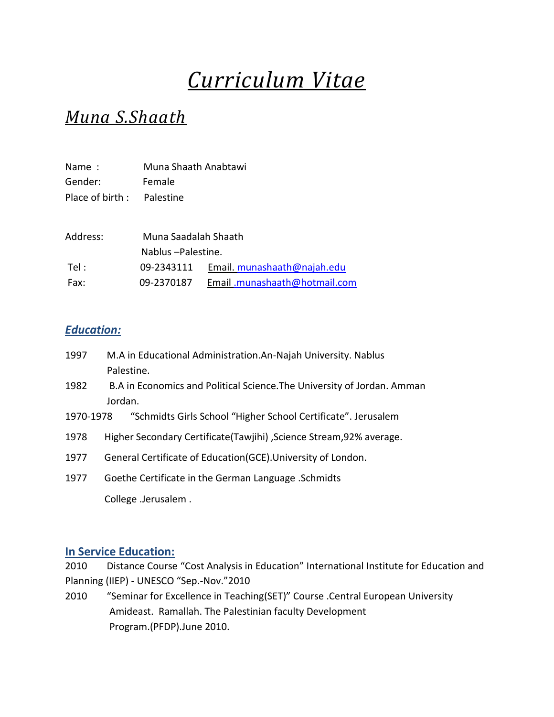# *Curriculum Vitae*

## *Muna S.Shaath*

| Name:           | Muna Shaath Anabtawi |                              |
|-----------------|----------------------|------------------------------|
| Gender:         | Female               |                              |
| Place of birth: | Palestine            |                              |
|                 |                      |                              |
| Address:        | Muna Saadalah Shaath |                              |
|                 | Nablus-Palestine.    |                              |
| Tel :           | 09-2343111           | Email. munashaath@najah.edu  |
| Fax:            | 09-2370187           | Email.munashaath@hotmail.com |

### *Education:*

- 1997 M.A in Educational Administration.An-Najah University. Nablus Palestine.
- 1982 B.A in Economics and Political Science.The University of Jordan. Amman Jordan.
- 1970-1978 "Schmidts Girls School "Higher School Certificate". Jerusalem
- 1978 Higher Secondary Certificate(Tawjihi) ,Science Stream,92% average.
- 1977 General Certificate of Education(GCE).University of London.
- 1977 Goethe Certificate in the German Language .Schmidts College .Jerusalem .

#### **In Service Education:**

2010 Distance Course "Cost Analysis in Education" International Institute for Education and Planning (IIEP) - UNESCO "Sep.-Nov."2010

2010 "Seminar for Excellence in Teaching(SET)" Course .Central European University Amideast. Ramallah. The Palestinian faculty Development Program.(PFDP).June 2010.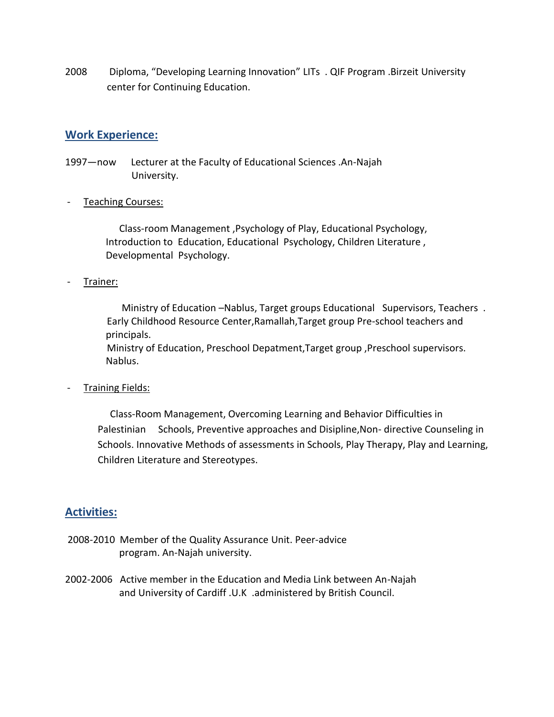2008 Diploma, "Developing Learning Innovation" LITs . QIF Program .Birzeit University center for Continuing Education.

#### **Work Experience:**

- 1997—now Lecturer at the Faculty of Educational Sciences .An-Najah University.
- Teaching Courses:

 Class-room Management ,Psychology of Play, Educational Psychology, Introduction to Education, Educational Psychology, Children Literature , Developmental Psychology.

- Trainer:

 Ministry of Education –Nablus, Target groups Educational Supervisors, Teachers . Early Childhood Resource Center,Ramallah,Target group Pre-school teachers and principals.

 Ministry of Education, Preschool Depatment,Target group ,Preschool supervisors. Nablus.

Training Fields:

 Class-Room Management, Overcoming Learning and Behavior Difficulties in Palestinian Schools, Preventive approaches and Disipline,Non- directive Counseling in Schools. Innovative Methods of assessments in Schools, Play Therapy, Play and Learning, Children Literature and Stereotypes.

#### **Activities:**

- 2008-2010 Member of the Quality Assurance Unit. Peer-advice program. An-Najah university.
- 2002-2006 Active member in the Education and Media Link between An-Najah and University of Cardiff .U.K .administered by British Council.